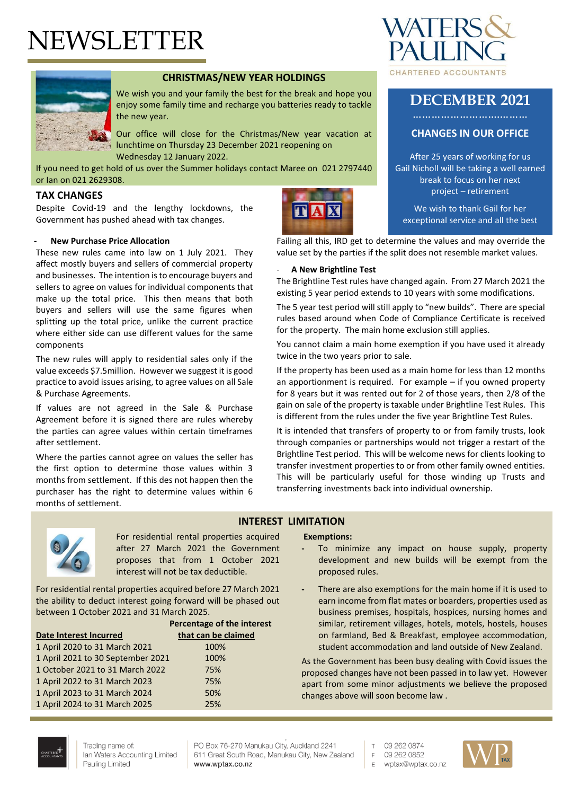# NEWSLETTER



# **CHRISTMAS/NEW YEAR HOLDINGS**

We wish you and your family the best for the break and hope you enjoy some family time and recharge you batteries ready to tackle the new year.

Our office will close for the Christmas/New year vacation at lunchtime on Thursday 23 December 2021 reopening on Wednesday 12 January 2022.

If you need to get hold of us over the Summer holidays contact Maree on 021 2797440 or Ian on 021 2629308.

#### **TAX CHANGES**

Despite Covid-19 and the lengthy lockdowns, the Government has pushed ahead with tax changes.

#### **- New Purchase Price Allocation**

These new rules came into law on 1 July 2021. They affect mostly buyers and sellers of commercial property and businesses. The intention is to encourage buyers and sellers to agree on values for individual components that make up the total price. This then means that both buyers and sellers will use the same figures when splitting up the total price, unlike the current practice where either side can use different values for the same components

The new rules will apply to residential sales only if the value exceeds \$7.5million. However we suggest it is good practice to avoid issues arising, to agree values on all Sale & Purchase Agreements.

If values are not agreed in the Sale & Purchase Agreement before it is signed there are rules whereby the parties can agree values within certain timeframes after settlement.

Where the parties cannot agree on values the seller has the first option to determine those values within 3 months from settlement. If this des not happen then the purchaser has the right to determine values within 6 months of settlement.





# **DECEMBER 2021**

## **CHANGES IN OUR OFFICE**

After 25 years of working for us Gail Nicholl will be taking a well earned break to focus on her next project – retirement

We wish to thank Gail for her exceptional service and all the best

Failing all this, IRD get to determine the values and may override the value set by the parties if the split does not resemble market values.

**A** 

#### - **A New Brightline Test**

The Brightline Test rules have changed again. From 27 March 2021 the existing 5 year period extends to 10 years with some modifications.

The 5 year test period will still apply to "new builds". There are special rules based around when Code of Compliance Certificate is received for the property. The main home exclusion still applies.

You cannot claim a main home exemption if you have used it already twice in the two years prior to sale.

If the property has been used as a main home for less than 12 months an apportionment is required. For example – if you owned property for 8 years but it was rented out for 2 of those years, then 2/8 of the gain on sale of the property is taxable under Brightline Test Rules. This is different from the rules under the five year Brightline Test Rules.

It is intended that transfers of property to or from family trusts, look through companies or partnerships would not trigger a restart of the Brightline Test period. This will be welcome news for clients looking to transfer investment properties to or from other family owned entities. This will be particularly useful for those winding up Trusts and transferring investments back into individual ownership.



For residential rental properties acquired after 27 March 2021 the Government proposes that from 1 October 2021 interest will not be tax deductible.

For residential rental properties acquired before 27 March 2021 the ability to deduct interest going forward will be phased out between 1 October 2021 and 31 March 2025.

|                                   | Percentage of the interest |
|-----------------------------------|----------------------------|
| Date Interest Incurred            | that can be claimed        |
| 1 April 2020 to 31 March 2021     | 100%                       |
| 1 April 2021 to 30 September 2021 | 100%                       |
| 1 October 2021 to 31 March 2022   | 75%                        |
| 1 April 2022 to 31 March 2023     | 75%                        |
| 1 April 2023 to 31 March 2024     | 50%                        |
| 1 April 2024 to 31 March 2025     | 25%                        |

#### **INTEREST LIMITATION**

#### **Exemptions:**

- **-** To minimize any impact on house supply, property development and new builds will be exempt from the proposed rules.
- **-** There are also exemptions for the main home if it is used to earn income from flat mates or boarders, properties used as business premises, hospitals, hospices, nursing homes and similar, retirement villages, hotels, motels, hostels, houses on farmland, Bed & Breakfast, employee accommodation, student accommodation and land outside of New Zealand.

As the Government has been busy dealing with Covid issues the proposed changes have not been passed in to law yet. However apart from some minor adjustments we believe the proposed changes above will soon become law .



Trading name of: Ian Waters Accounting Limited Pauling Limited

PO Box 76-270 Manukau City, Auckland 2241 611 Great South Road, Manukau City, New Zealand www.wptax.co.nz

 $\top$ 09 262 0874

- 09 262 0852  $F$
- E wptax@wptax.co.nz